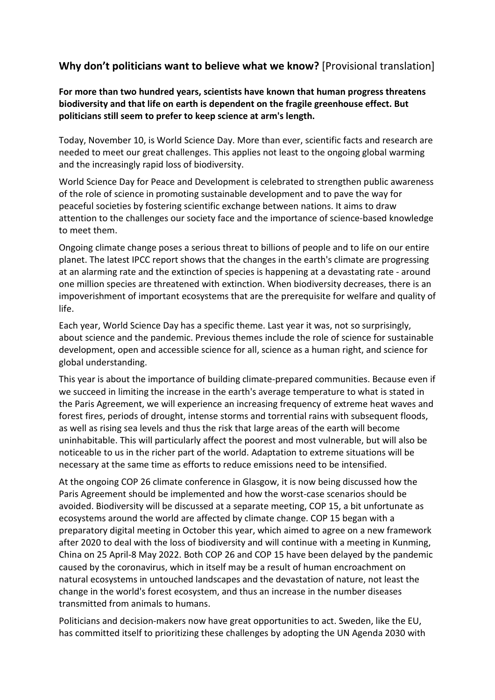## **Why don't politicians want to believe what we know?** [Provisional translation]

**For more than two hundred years, scientists have known that human progress threatens biodiversity and that life on earth is dependent on the fragile greenhouse effect. But politicians still seem to prefer to keep science at arm's length.**

Today, November 10, is World Science Day. More than ever, scientific facts and research are needed to meet our great challenges. This applies not least to the ongoing global warming and the increasingly rapid loss of biodiversity.

World Science Day for Peace and Development is celebrated to strengthen public awareness of the role of science in promoting sustainable development and to pave the way for peaceful societies by fostering scientific exchange between nations. It aims to draw attention to the challenges our society face and the importance of science-based knowledge to meet them.

Ongoing climate change poses a serious threat to billions of people and to life on our entire planet. The latest IPCC report shows that the changes in the earth's climate are progressing at an alarming rate and the extinction of species is happening at a devastating rate - around one million species are threatened with extinction. When biodiversity decreases, there is an impoverishment of important ecosystems that are the prerequisite for welfare and quality of life.

Each year, World Science Day has a specific theme. Last year it was, not so surprisingly, about science and the pandemic. Previous themes include the role of science for sustainable development, open and accessible science for all, science as a human right, and science for global understanding.

This year is about the importance of building climate-prepared communities. Because even if we succeed in limiting the increase in the earth's average temperature to what is stated in the Paris Agreement, we will experience an increasing frequency of extreme heat waves and forest fires, periods of drought, intense storms and torrential rains with subsequent floods, as well as rising sea levels and thus the risk that large areas of the earth will become uninhabitable. This will particularly affect the poorest and most vulnerable, but will also be noticeable to us in the richer part of the world. Adaptation to extreme situations will be necessary at the same time as efforts to reduce emissions need to be intensified.

At the ongoing COP 26 climate conference in Glasgow, it is now being discussed how the Paris Agreement should be implemented and how the worst-case scenarios should be avoided. Biodiversity will be discussed at a separate meeting, COP 15, a bit unfortunate as ecosystems around the world are affected by climate change. COP 15 began with a preparatory digital meeting in October this year, which aimed to agree on a new framework after 2020 to deal with the loss of biodiversity and will continue with a meeting in Kunming, China on 25 April-8 May 2022. Both COP 26 and COP 15 have been delayed by the pandemic caused by the coronavirus, which in itself may be a result of human encroachment on natural ecosystems in untouched landscapes and the devastation of nature, not least the change in the world's forest ecosystem, and thus an increase in the number diseases transmitted from animals to humans.

Politicians and decision-makers now have great opportunities to act. Sweden, like the EU, has committed itself to prioritizing these challenges by adopting the UN Agenda 2030 with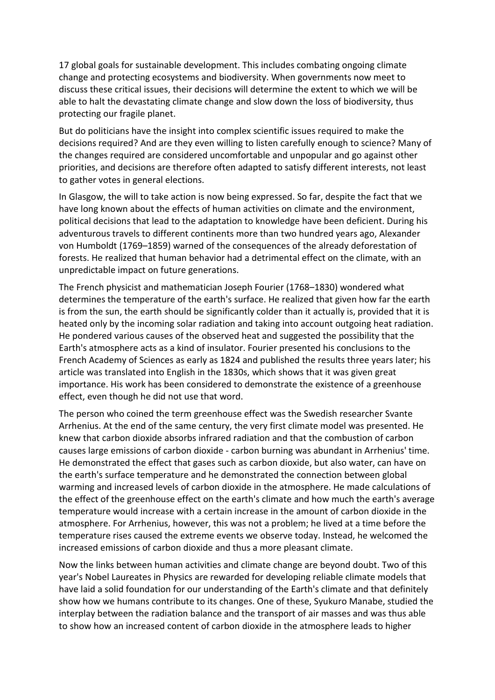17 global goals for sustainable development. This includes combating ongoing climate change and protecting ecosystems and biodiversity. When governments now meet to discuss these critical issues, their decisions will determine the extent to which we will be able to halt the devastating climate change and slow down the loss of biodiversity, thus protecting our fragile planet.

But do politicians have the insight into complex scientific issues required to make the decisions required? And are they even willing to listen carefully enough to science? Many of the changes required are considered uncomfortable and unpopular and go against other priorities, and decisions are therefore often adapted to satisfy different interests, not least to gather votes in general elections.

In Glasgow, the will to take action is now being expressed. So far, despite the fact that we have long known about the effects of human activities on climate and the environment, political decisions that lead to the adaptation to knowledge have been deficient. During his adventurous travels to different continents more than two hundred years ago, Alexander von Humboldt (1769–1859) warned of the consequences of the already deforestation of forests. He realized that human behavior had a detrimental effect on the climate, with an unpredictable impact on future generations.

The French physicist and mathematician Joseph Fourier (1768–1830) wondered what determines the temperature of the earth's surface. He realized that given how far the earth is from the sun, the earth should be significantly colder than it actually is, provided that it is heated only by the incoming solar radiation and taking into account outgoing heat radiation. He pondered various causes of the observed heat and suggested the possibility that the Earth's atmosphere acts as a kind of insulator. Fourier presented his conclusions to the French Academy of Sciences as early as 1824 and published the results three years later; his article was translated into English in the 1830s, which shows that it was given great importance. His work has been considered to demonstrate the existence of a greenhouse effect, even though he did not use that word.

The person who coined the term greenhouse effect was the Swedish researcher Svante Arrhenius. At the end of the same century, the very first climate model was presented. He knew that carbon dioxide absorbs infrared radiation and that the combustion of carbon causes large emissions of carbon dioxide - carbon burning was abundant in Arrhenius' time. He demonstrated the effect that gases such as carbon dioxide, but also water, can have on the earth's surface temperature and he demonstrated the connection between global warming and increased levels of carbon dioxide in the atmosphere. He made calculations of the effect of the greenhouse effect on the earth's climate and how much the earth's average temperature would increase with a certain increase in the amount of carbon dioxide in the atmosphere. For Arrhenius, however, this was not a problem; he lived at a time before the temperature rises caused the extreme events we observe today. Instead, he welcomed the increased emissions of carbon dioxide and thus a more pleasant climate.

Now the links between human activities and climate change are beyond doubt. Two of this year's Nobel Laureates in Physics are rewarded for developing reliable climate models that have laid a solid foundation for our understanding of the Earth's climate and that definitely show how we humans contribute to its changes. One of these, Syukuro Manabe, studied the interplay between the radiation balance and the transport of air masses and was thus able to show how an increased content of carbon dioxide in the atmosphere leads to higher